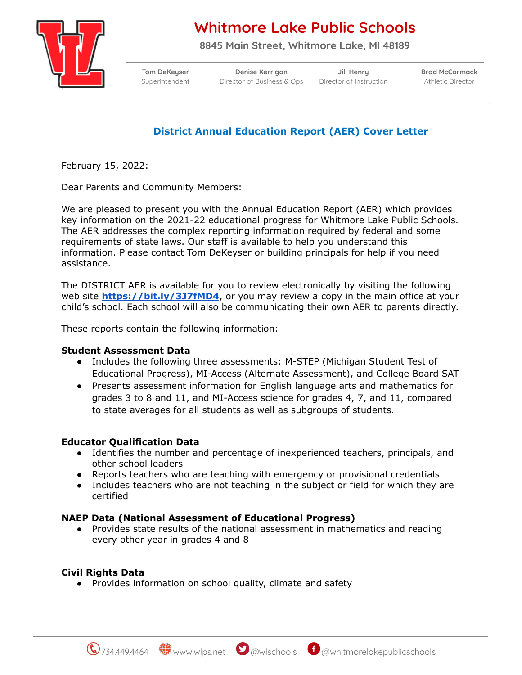

# **Whitmore Lake Public Schools**

**8845 Main Street, Whitmore Lake, MI 48189**

**Tom DeKeyser Denise Kerrigan Jill Henry Brad McCormack** Superintendent Director of Business & Ops Director of Instruction Athletic Director

1

# **District Annual Education Report (AER) Cover Letter**

February 15, 2022:

Dear Parents and Community Members:

We are pleased to present you with the Annual Education Report (AER) which provides key information on the 2021-22 educational progress for Whitmore Lake Public Schools. The AER addresses the complex reporting information required by federal and some requirements of state laws. Our staff is available to help you understand this information. Please contact Tom DeKeyser or building principals for help if you need assistance.

The DISTRICT AER is available for you to review electronically by visiting the following web site **<https://bit.ly/3J7fMD4>**, or you may review a copy in the main office at your child's school. Each school will also be communicating their own AER to parents directly.

These reports contain the following information:

#### **Student Assessment Data**

- Includes the following three assessments: M-STEP (Michigan Student Test of Educational Progress), MI-Access (Alternate Assessment), and College Board SAT
- Presents assessment information for English language arts and mathematics for grades 3 to 8 and 11, and MI-Access science for grades 4, 7, and 11, compared to state averages for all students as well as subgroups of students.

## **Educator Qualification Data**

- Identifies the number and percentage of inexperienced teachers, principals, and other school leaders
- Reports teachers who are teaching with emergency or provisional credentials
- Includes teachers who are not teaching in the subject or field for which they are certified

#### **NAEP Data (National Assessment of Educational Progress)**

Provides state results of the national assessment in mathematics and reading every other year in grades 4 and 8

## **Civil Rights Data**

● Provides information on school quality, climate and safety